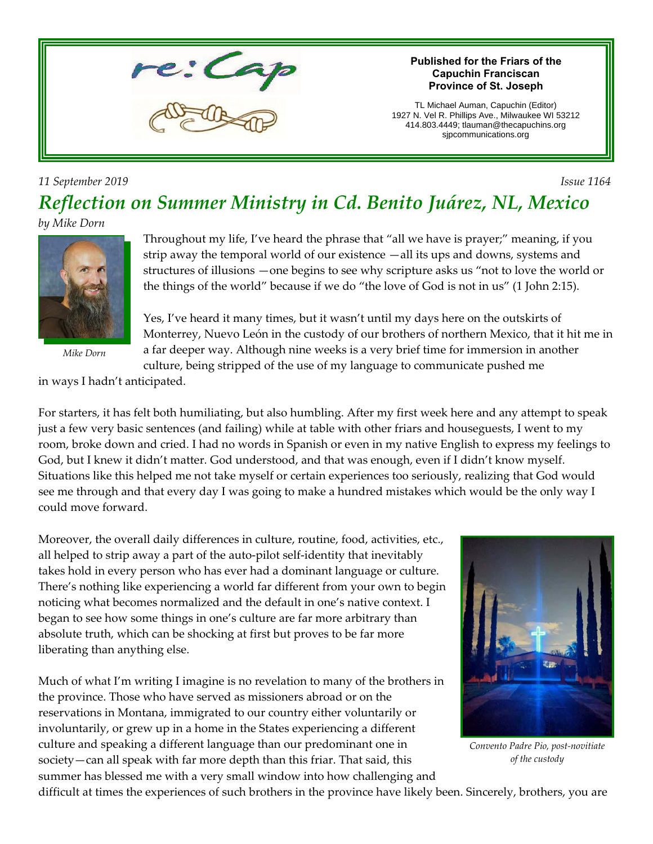

#### **Published for the Friars of the Capuchin Franciscan Province of St. Joseph**

TL Michael Auman, Capuchin (Editor) 1927 N. Vel R. Phillips Ave., Milwaukee WI 53212 414.803.4449; tlauman@thecapuchins.org sjpcommunications.org

### *11 September 2019 Issue 1164 Reflection on Summer Ministry in Cd. Benito Juárez, NL, Mexico*

#### *by Mike Dorn*



*Mike Dorn*

Throughout my life, I've heard the phrase that "all we have is prayer;" meaning, if you strip away the temporal world of our existence —all its ups and downs, systems and structures of illusions —one begins to see why scripture asks us "not to love the world or the things of the world" because if we do "the love of God is not in us" (1 John 2:15).

Yes, I've heard it many times, but it wasn't until my days here on the outskirts of Monterrey, Nuevo León in the custody of our brothers of northern Mexico, that it hit me in a far deeper way. Although nine weeks is a very brief time for immersion in another culture, being stripped of the use of my language to communicate pushed me

in ways I hadn't anticipated.

For starters, it has felt both humiliating, but also humbling. After my first week here and any attempt to speak just a few very basic sentences (and failing) while at table with other friars and houseguests, I went to my room, broke down and cried. I had no words in Spanish or even in my native English to express my feelings to God, but I knew it didn't matter. God understood, and that was enough, even if I didn't know myself. Situations like this helped me not take myself or certain experiences too seriously, realizing that God would see me through and that every day I was going to make a hundred mistakes which would be the only way I could move forward.

Moreover, the overall daily differences in culture, routine, food, activities, etc., all helped to strip away a part of the auto-pilot self-identity that inevitably takes hold in every person who has ever had a dominant language or culture. There's nothing like experiencing a world far different from your own to begin noticing what becomes normalized and the default in one's native context. I began to see how some things in one's culture are far more arbitrary than absolute truth, which can be shocking at first but proves to be far more liberating than anything else.

Much of what I'm writing I imagine is no revelation to many of the brothers in the province. Those who have served as missioners abroad or on the reservations in Montana, immigrated to our country either voluntarily or involuntarily, or grew up in a home in the States experiencing a different culture and speaking a different language than our predominant one in society—can all speak with far more depth than this friar. That said, this summer has blessed me with a very small window into how challenging and



*Convento Padre Pio, post-novitiate of the custody*

difficult at times the experiences of such brothers in the province have likely been. Sincerely, brothers, you are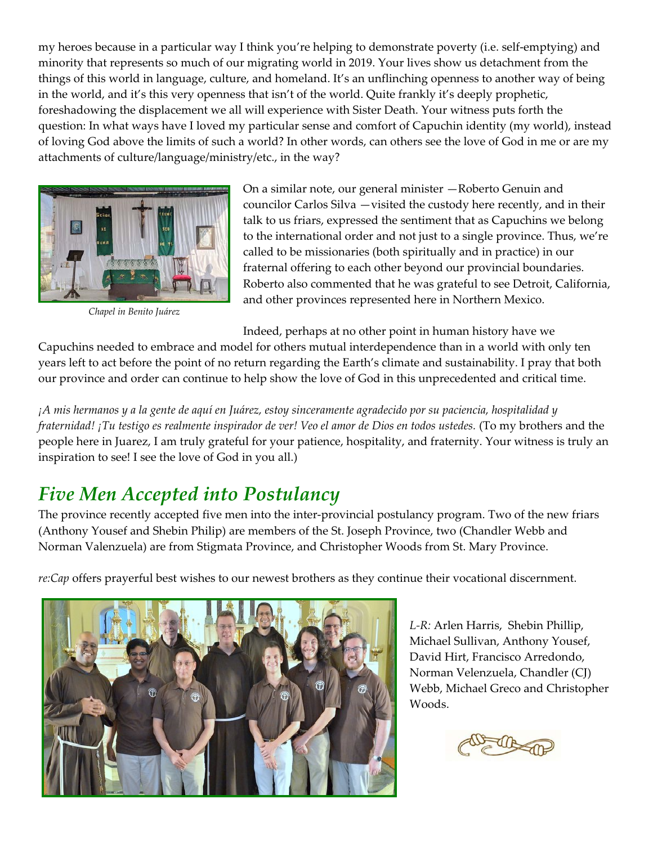my heroes because in a particular way I think you're helping to demonstrate poverty (i.e. self-emptying) and minority that represents so much of our migrating world in 2019. Your lives show us detachment from the things of this world in language, culture, and homeland. It's an unflinching openness to another way of being in the world, and it's this very openness that isn't of the world. Quite frankly it's deeply prophetic, foreshadowing the displacement we all will experience with Sister Death. Your witness puts forth the question: In what ways have I loved my particular sense and comfort of Capuchin identity (my world), instead of loving God above the limits of such a world? In other words, can others see the love of God in me or are my attachments of culture/language/ministry/etc., in the way?



*Chapel in Benito Juárez*

On a similar note, our general minister —Roberto Genuin and councilor Carlos Silva —visited the custody here recently, and in their talk to us friars, expressed the sentiment that as Capuchins we belong to the international order and not just to a single province. Thus, we're called to be missionaries (both spiritually and in practice) in our fraternal offering to each other beyond our provincial boundaries. Roberto also commented that he was grateful to see Detroit, California, and other provinces represented here in Northern Mexico.

Indeed, perhaps at no other point in human history have we

Capuchins needed to embrace and model for others mutual interdependence than in a world with only ten years left to act before the point of no return regarding the Earth's climate and sustainability. I pray that both our province and order can continue to help show the love of God in this unprecedented and critical time.

*¡A mis hermanos y a la gente de aquí en Juárez, estoy sinceramente agradecido por su paciencia, hospitalidad y fraternidad! ¡Tu testigo es realmente inspirador de ver! Veo el amor de Dios en todos ustedes.* (To my brothers and the people here in Juarez, I am truly grateful for your patience, hospitality, and fraternity. Your witness is truly an inspiration to see! I see the love of God in you all.)

# *Five Men Accepted into Postulancy*

The province recently accepted five men into the inter-provincial postulancy program. Two of the new friars (Anthony Yousef and Shebin Philip) are members of the St. Joseph Province, two (Chandler Webb and Norman Valenzuela) are from Stigmata Province, and Christopher Woods from St. Mary Province.

*re:Cap* offers prayerful best wishes to our newest brothers as they continue their vocational discernment.



*L-R:* Arlen Harris, Shebin Phillip, Michael Sullivan, Anthony Yousef, David Hirt, Francisco Arredondo, Norman Velenzuela, Chandler (CJ) Webb, Michael Greco and Christopher Woods.

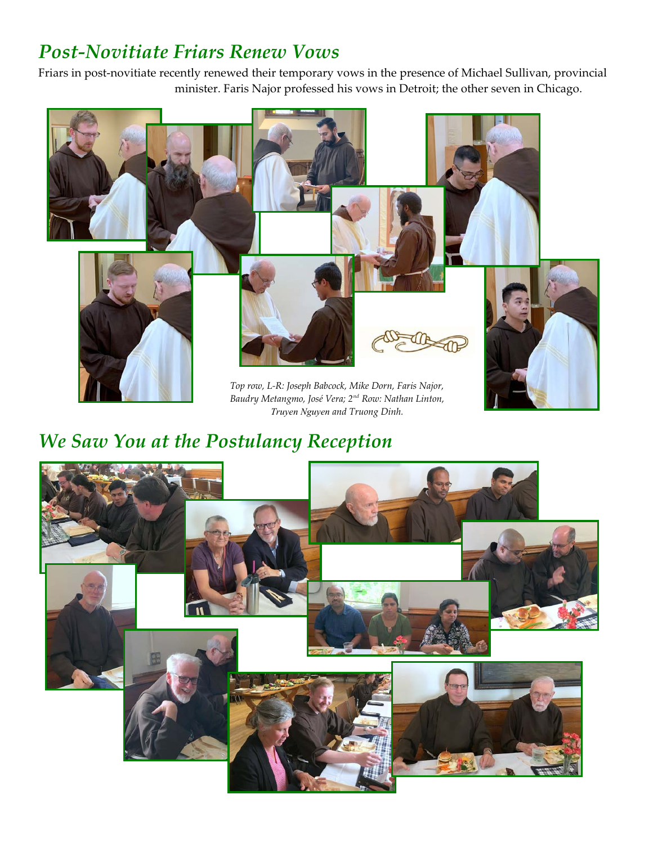# *Post-Novitiate Friars Renew Vows*

Friars in post-novitiate recently renewed their temporary vows in the presence of Michael Sullivan, provincial minister. Faris Najor professed his vows in Detroit; the other seven in Chicago.



*Baudry Metangmo, José Vera; 2nd Row: Nathan Linton, Truyen Nguyen and Truong Dinh.*

# *We Saw You at the Postulancy Reception*